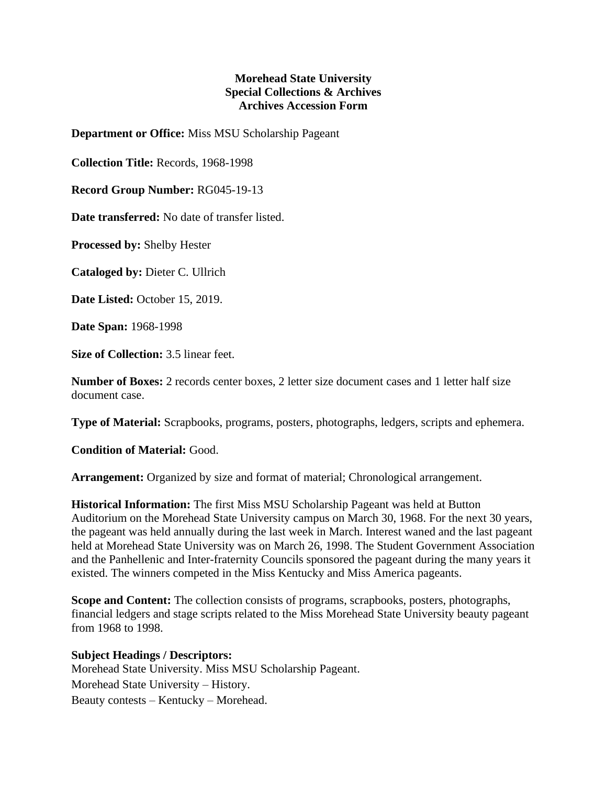## **Morehead State University Special Collections & Archives Archives Accession Form**

**Department or Office:** Miss MSU Scholarship Pageant

**Collection Title:** Records, 1968-1998

**Record Group Number:** RG045-19-13

**Date transferred:** No date of transfer listed.

**Processed by:** Shelby Hester

**Cataloged by:** Dieter C. Ullrich

**Date Listed:** October 15, 2019.

**Date Span:** 1968-1998

**Size of Collection:** 3.5 linear feet.

**Number of Boxes:** 2 records center boxes, 2 letter size document cases and 1 letter half size document case.

**Type of Material:** Scrapbooks, programs, posters, photographs, ledgers, scripts and ephemera.

**Condition of Material:** Good.

**Arrangement:** Organized by size and format of material; Chronological arrangement.

**Historical Information:** The first Miss MSU Scholarship Pageant was held at Button Auditorium on the Morehead State University campus on March 30, 1968. For the next 30 years, the pageant was held annually during the last week in March. Interest waned and the last pageant held at Morehead State University was on March 26, 1998. The Student Government Association and the Panhellenic and Inter-fraternity Councils sponsored the pageant during the many years it existed. The winners competed in the Miss Kentucky and Miss America pageants.

**Scope and Content:** The collection consists of programs, scrapbooks, posters, photographs, financial ledgers and stage scripts related to the Miss Morehead State University beauty pageant from 1968 to 1998.

## **Subject Headings / Descriptors:**

Morehead State University. Miss MSU Scholarship Pageant. Morehead State University – History. Beauty contests – Kentucky – Morehead.